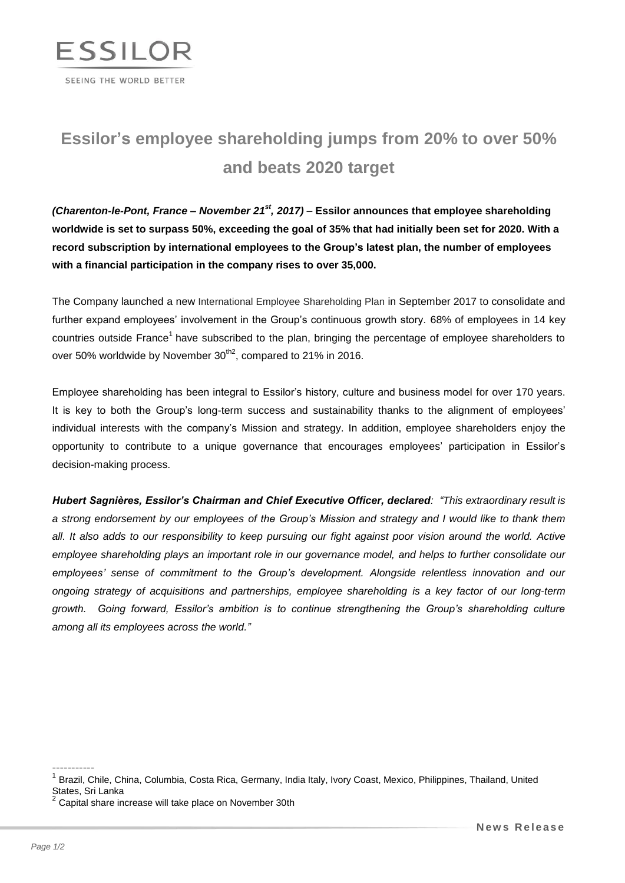

## **Essilor's employee shareholding jumps from 20% to over 50% and beats 2020 target**

*(Charenton-le-Pont, France – November 21st , 2017)* – **Essilor announces that employee shareholding worldwide is set to surpass 50%, exceeding the goal of 35% that had initially been set for 2020. With a record subscription by international employees to the Group's latest plan, the number of employees with a financial participation in the company rises to over 35,000.**

The Company launched a new International Employee Shareholding Plan in September 2017 to consolidate and further expand employees' involvement in the Group's continuous growth story. 68% of employees in 14 key countries outside France<sup>1</sup> have subscribed to the plan, bringing the percentage of employee shareholders to over 50% worldwide by November  $30^{th2}$ , compared to 21% in 2016.

Employee shareholding has been integral to Essilor's history, culture and business model for over 170 years. It is key to both the Group's long-term success and sustainability thanks to the alignment of employees' individual interests with the company's Mission and strategy. In addition, employee shareholders enjoy the opportunity to contribute to a unique governance that encourages employees' participation in Essilor's decision-making process.

*Hubert Sagnières, Essilor's Chairman and Chief Executive Officer, declared: "This extraordinary result is a strong endorsement by our employees of the Group's Mission and strategy and I would like to thank them all. It also adds to our responsibility to keep pursuing our fight against poor vision around the world. Active employee shareholding plays an important role in our governance model, and helps to further consolidate our employees' sense of commitment to the Group's development. Alongside relentless innovation and our ongoing strategy of acquisitions and partnerships, employee shareholding is a key factor of our long-term growth. Going forward, Essilor's ambition is to continue strengthening the Group's shareholding culture among all its employees across the world."*

-----------

<sup>&</sup>lt;sup>1</sup> Brazil, Chile, China, Columbia, Costa Rica, Germany, India Italy, Ivory Coast, Mexico, Philippines, Thailand, United States, Sri Lanka

<sup>2</sup> Capital share increase will take place on November 30th